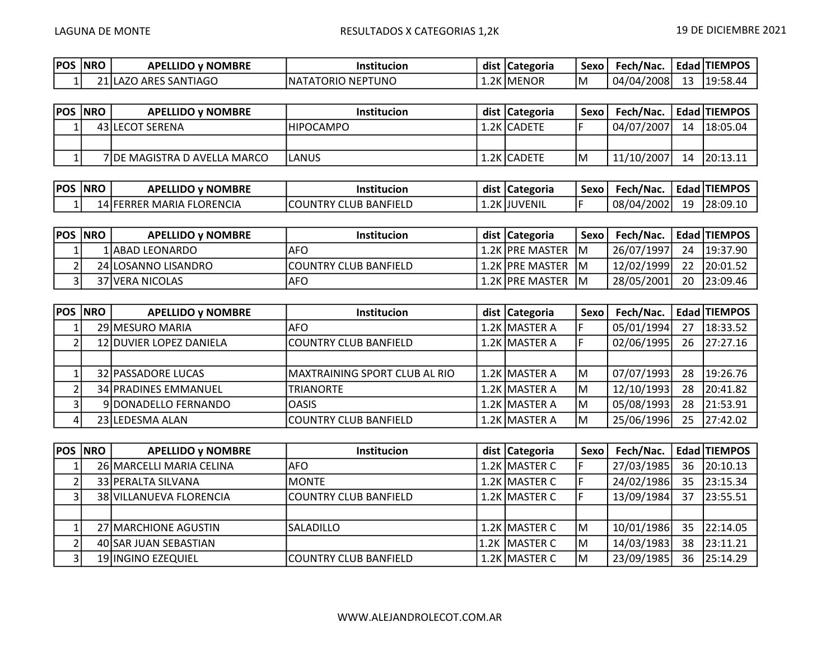| <b>POS</b> | <b>NRO</b> | <b>APELLIDO y NOMBRE</b> | Institucion             | dist | :  Categoria | <b>Sexo</b> | Fech/Nac.  |           | Edad TIEMPOS             |
|------------|------------|--------------------------|-------------------------|------|--------------|-------------|------------|-----------|--------------------------|
| -          | ว1 เ       | J ARES SANTIAGO<br>، A   | TORIO NEPTUNO<br>'NAIAI | 1.ZN | 2K IMENOR    | IM          | 04/04/2008 | 1 J<br>-- | 19:58.<br>$\overline{ }$ |

| <b>POS NRO</b> | <b>APELLIDO v NOMBRE</b>     | <b>Institucion</b> | dist   Categoria | Sexo l | Fech/Nac.  |    | Edad TIEMPOS |
|----------------|------------------------------|--------------------|------------------|--------|------------|----|--------------|
|                | 43 ILECOT SERENA             | IHIPOCAMPO         | 1.2K ICADETE     |        | 04/07/2007 | 14 | 18:05.04     |
|                |                              |                    |                  |        |            |    |              |
|                | 7IDE MAGISTRA D AVELLA MARCO | LANUS              | 1.2K ICADETE     | ١M     | 11/10/2007 | 14 | 20:13.11     |

| POS | <b>NRC</b> | <b>APELLIDO y NOMBRE</b>      | .<br>Institucion                 | dist  | <b>ICategoria</b> | "Sexo | Fech/Nac.        | Edad I | <b>I ITIEMPOS</b> |
|-----|------------|-------------------------------|----------------------------------|-------|-------------------|-------|------------------|--------|-------------------|
|     |            | FLORENCIA<br>14 IFERRER MARIA | <b>ICOUNTRY</b><br>CLUB BANFIELD | ⊥.∠N∴ | 2K IJUVENIL       |       | /2002.<br>08/04/ | 19     | 128:09.1          |

| <b>POS NRO</b> | <b>APELLIDO v NOMBRE</b> | <b>Institucion</b>     | dist Categoria   | <b>Sexo</b> | Fech/Nac.  |    | Edad TIEMPOS |
|----------------|--------------------------|------------------------|------------------|-------------|------------|----|--------------|
|                | 1IABAD LEONARDO          | <b>AFO</b>             | 1.2K JPRE MASTER | -IM         | 26/07/1997 |    | 24 19:37.90  |
| ົ              | 24 LOSANNO LISANDRO      | ICOUNTRY CLUB BANFIELD | 1.2K JPRE MASTER | -IM         | 12/02/1999 | 22 | 20:01.52     |
| રા             | 37 IVERA NICOLAS         | <b>AFO</b>             | 1.2K JPRE MASTER | 1M          | 28/05/2001 | 20 | 123:09.46    |

| POS  NRO | <b>APELLIDO y NOMBRE</b>       | <b>Institucion</b>            | dist   Categoria | <b>Sexo</b> | Fech/Nac.  |    | Edad TIEMPOS |
|----------|--------------------------------|-------------------------------|------------------|-------------|------------|----|--------------|
|          | 29 MESURO MARIA                | AFO.                          | 1.2K MASTER A    |             | 05/01/1994 | 27 | 18:33.52     |
|          | <b>12 DUVIER LOPEZ DANIELA</b> | <b>ICOUNTRY CLUB BANFIELD</b> | 1.2K MASTER A    |             | 02/06/1995 | 26 | 27:27.16     |
|          |                                |                               |                  |             |            |    |              |
|          | 32 PASSADORE LUCAS             | MAXTRAINING SPORT CLUB AL RIO | 1.2K MASTER A    | lМ          | 07/07/1993 | 28 | 19:26.76     |
|          | <b>34 PRADINES EMMANUEL</b>    | <b>TRIANORTE</b>              | 1.2K MASTER A    | İΜ          | 12/10/1993 | 28 | 20:41.82     |
|          | 9 DONADELLO FERNANDO           | <b>OASIS</b>                  | 1.2K MASTER A    | lМ          | 05/08/1993 | 28 | 21:53.91     |
|          | 23 LEDESMA ALAN                | COUNTRY CLUB BANFIELD         | 1.2K MASTER A    | lМ          | 25/06/1996 | 25 | 27:42.02     |

| <b>POS INRO</b> | <b>APELLIDO y NOMBRE</b> | <b>Institucion</b>    | dist   Categoria | Sexo | Fech/Nac.  |    | Edad TIEMPOS |
|-----------------|--------------------------|-----------------------|------------------|------|------------|----|--------------|
|                 | 26 MARCELLI MARIA CELINA | IAFO.                 | 1.2K MASTER C    |      | 27/03/1985 | 36 | 20:10.13     |
|                 | 33 PERALTA SILVANA       | <b>MONTE</b>          | 1.2K MASTER C    |      | 24/02/1986 | 35 | 23:15.34     |
|                 | 38 VILLANUEVA FLORENCIA  | COUNTRY CLUB BANFIELD | 1.2K MASTER C    |      | 13/09/1984 | 37 | 23:55.51     |
|                 |                          |                       |                  |      |            |    |              |
|                 | 27 MARCHIONE AGUSTIN     | <b>SALADILLO</b>      | 1.2K MASTER C    | Iм   | 10/01/1986 | 35 | 22:14.05     |
|                 | 40 SAR JUAN SEBASTIAN    |                       | 1.2K MASTER C    | ΙM   | 14/03/1983 | 38 | 23:11.21     |
|                 | 19 INGINO EZEQUIEL       | COUNTRY CLUB BANFIELD | 1.2K MASTER C    | ΙM   | 23/09/1985 | 36 | 25:14.29     |